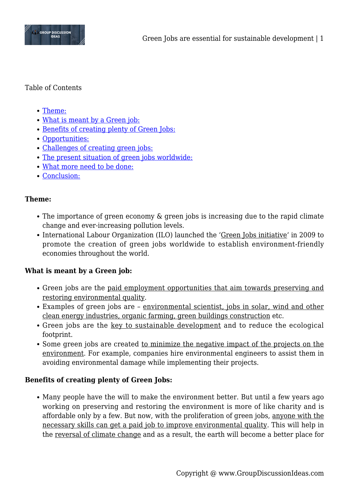

### Table of Contents

- [Theme:](#page--1-0)
- [What is meant by a Green job:](#page--1-0)
- [Benefits of creating plenty of Green Jobs:](#page--1-0)
- [Opportunities:](#page--1-0)
- [Challenges of creating green jobs:](#page--1-0)
- [The present situation of green jobs worldwide:](#page--1-0)
- [What more need to be done:](#page--1-0)
- [Conclusion:](#page--1-0)

### **Theme:**

- The importance of green economy & green jobs is increasing due to the rapid climate change and ever-increasing pollution levels.
- International Labour Organization (ILO) launched the 'Green Jobs initiative' in 2009 to promote the creation of green jobs worldwide to establish environment-friendly economies throughout the world.

### **What is meant by a Green job:**

- Green jobs are the paid employment opportunities that aim towards preserving and restoring environmental quality.
- Examples of green jobs are environmental scientist, jobs in solar, wind and other clean energy industries, organic farming, green buildings construction etc.
- Green jobs are the key to sustainable development and to reduce the ecological footprint.
- Some green jobs are created to minimize the negative impact of the projects on the environment. For example, companies hire environmental engineers to assist them in avoiding environmental damage while implementing their projects.

### **Benefits of creating plenty of Green Jobs:**

Many people have the will to make the environment better. But until a few years ago working on preserving and restoring the environment is more of like charity and is affordable only by a few. But now, with the proliferation of green jobs, anyone with the necessary skills can get a paid job to improve environmental quality. This will help in the reversal of climate change and as a result, the earth will become a better place for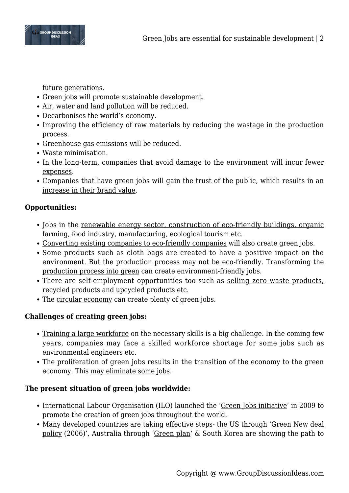

future generations.

- Green jobs will promote sustainable development.
- Air, water and land pollution will be reduced.
- Decarbonises the world's economy.
- Improving the efficiency of raw materials by reducing the wastage in the production process.
- Greenhouse gas emissions will be reduced.
- Waste minimisation.
- In the long-term, companies that avoid damage to the environment will incur fewer expenses.
- Companies that have green jobs will gain the trust of the public, which results in an increase in their brand value.

## **Opportunities:**

- Jobs in the renewable energy sector, construction of eco-friendly buildings, organic farming, food industry, manufacturing, ecological tourism etc.
- Converting existing companies to eco-friendly companies will also create green jobs.
- Some products such as cloth bags are created to have a positive impact on the environment. But the production process may not be eco-friendly. Transforming the production process into green can create environment-friendly jobs.
- There are self-employment opportunities too such as selling zero waste products, recycled products and upcycled products etc.
- The circular economy can create plenty of green jobs.

# **Challenges of creating green jobs:**

- Training a large workforce on the necessary skills is a big challenge. In the coming few years, companies may face a skilled workforce shortage for some jobs such as environmental engineers etc.
- The proliferation of green jobs results in the transition of the economy to the green economy. This may eliminate some jobs.

# **The present situation of green jobs worldwide:**

- International Labour Organisation (ILO) launched the 'Green Jobs initiative' in 2009 to promote the creation of green jobs throughout the world.
- Many developed countries are taking effective steps- the US through 'Green New deal policy (2006)', Australia through 'Green plan' & South Korea are showing the path to